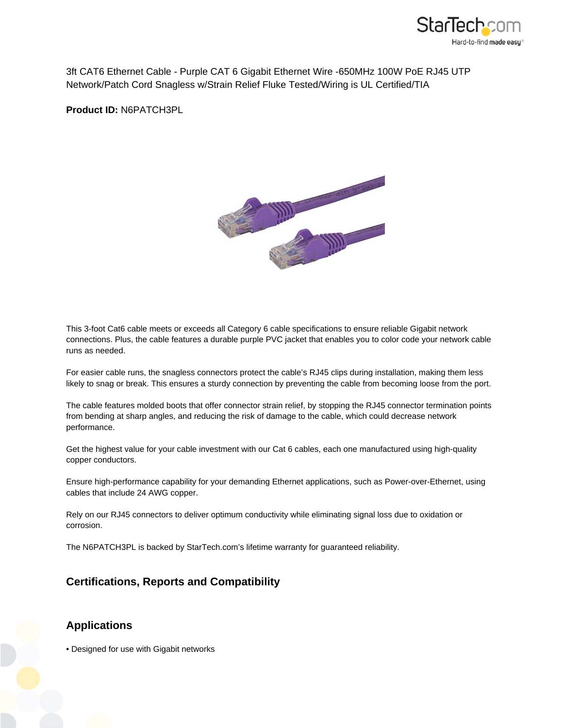

3ft CAT6 Ethernet Cable - Purple CAT 6 Gigabit Ethernet Wire -650MHz 100W PoE RJ45 UTP Network/Patch Cord Snagless w/Strain Relief Fluke Tested/Wiring is UL Certified/TIA

**Product ID:** N6PATCH3PL



This 3-foot Cat6 cable meets or exceeds all Category 6 cable specifications to ensure reliable Gigabit network connections. Plus, the cable features a durable purple PVC jacket that enables you to color code your network cable runs as needed.

For easier cable runs, the snagless connectors protect the cable's RJ45 clips during installation, making them less likely to snag or break. This ensures a sturdy connection by preventing the cable from becoming loose from the port.

The cable features molded boots that offer connector strain relief, by stopping the RJ45 connector termination points from bending at sharp angles, and reducing the risk of damage to the cable, which could decrease network performance.

Get the highest value for your cable investment with our Cat 6 cables, each one manufactured using high-quality copper conductors.

Ensure high-performance capability for your demanding Ethernet applications, such as Power-over-Ethernet, using cables that include 24 AWG copper.

Rely on our RJ45 connectors to deliver optimum conductivity while eliminating signal loss due to oxidation or corrosion.

The N6PATCH3PL is backed by StarTech.com's lifetime warranty for guaranteed reliability.

## **Certifications, Reports and Compatibility**

## **Applications**

• Designed for use with Gigabit networks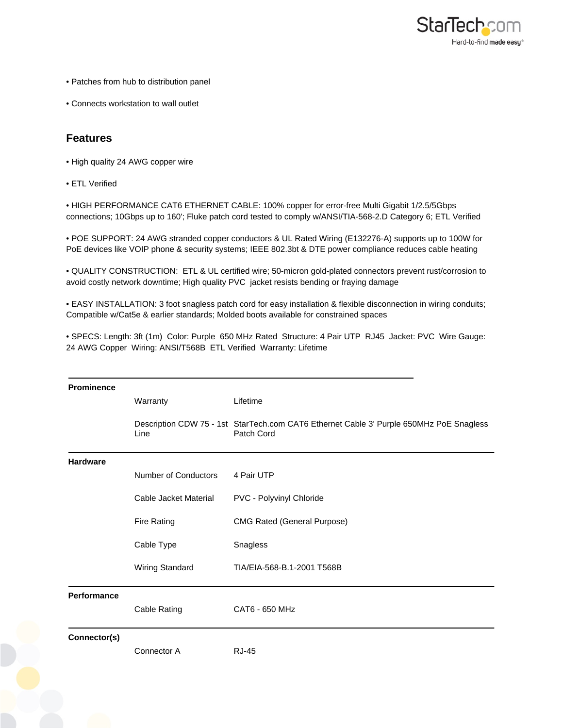

- Patches from hub to distribution panel
- Connects workstation to wall outlet

## **Features**

- High quality 24 AWG copper wire
- ETL Verified

• HIGH PERFORMANCE CAT6 ETHERNET CABLE: 100% copper for error-free Multi Gigabit 1/2.5/5Gbps connections; 10Gbps up to 160'; Fluke patch cord tested to comply w/ANSI/TIA-568-2.D Category 6; ETL Verified

• POE SUPPORT: 24 AWG stranded copper conductors & UL Rated Wiring (E132276-A) supports up to 100W for PoE devices like VOIP phone & security systems; IEEE 802.3bt & DTE power compliance reduces cable heating

• QUALITY CONSTRUCTION: ETL & UL certified wire; 50-micron gold-plated connectors prevent rust/corrosion to avoid costly network downtime; High quality PVC jacket resists bending or fraying damage

• EASY INSTALLATION: 3 foot snagless patch cord for easy installation & flexible disconnection in wiring conduits; Compatible w/Cat5e & earlier standards; Molded boots available for constrained spaces

• SPECS: Length: 3ft (1m) Color: Purple 650 MHz Rated Structure: 4 Pair UTP RJ45 Jacket: PVC Wire Gauge: 24 AWG Copper Wiring: ANSI/T568B ETL Verified Warranty: Lifetime

| <b>Prominence</b>  |                       |                                                                                                       |
|--------------------|-----------------------|-------------------------------------------------------------------------------------------------------|
|                    | Warranty              | Lifetime                                                                                              |
|                    | Line                  | Description CDW 75 - 1st StarTech.com CAT6 Ethernet Cable 3' Purple 650MHz PoE Snagless<br>Patch Cord |
| <b>Hardware</b>    |                       |                                                                                                       |
|                    | Number of Conductors  | 4 Pair UTP                                                                                            |
|                    | Cable Jacket Material | PVC - Polyvinyl Chloride                                                                              |
|                    | Fire Rating           | <b>CMG Rated (General Purpose)</b>                                                                    |
|                    | Cable Type            | Snagless                                                                                              |
|                    | Wiring Standard       | TIA/EIA-568-B.1-2001 T568B                                                                            |
| <b>Performance</b> |                       |                                                                                                       |
|                    | Cable Rating          | CAT6 - 650 MHz                                                                                        |
| Connector(s)       | Connector A           | <b>RJ-45</b>                                                                                          |